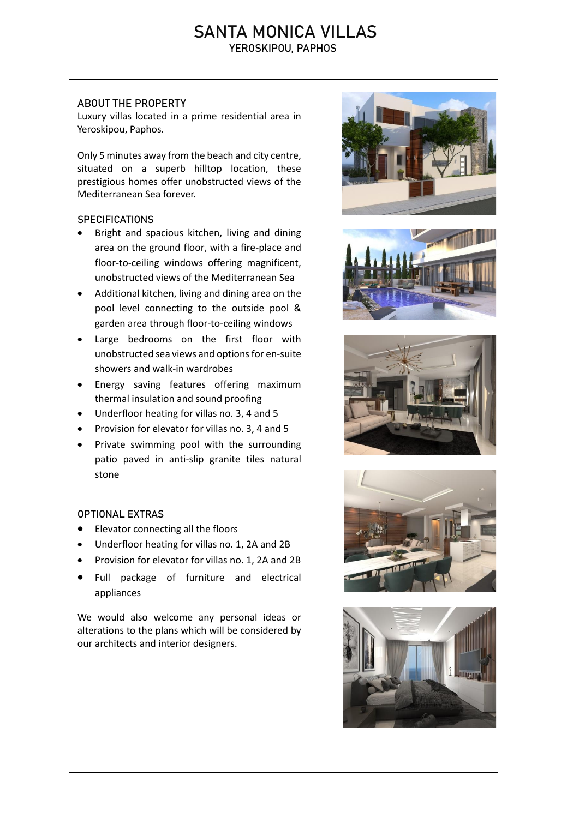## SANTA MONICA VILLAS YEROSKIPOU, PAPHOS

### ABOUT THE PROPERTY

Luxury villas located in a prime residential area in Yeroskipou, Paphos.

Only 5 minutes away from the beach and city centre, situated on a superb hilltop location, these prestigious homes offer unobstructed views of the Mediterranean Sea forever.

### **SPECIFICATIONS**

- Bright and spacious kitchen, living and dining area on the ground floor, with a fire-place and floor-to-ceiling windows offering magnificent, unobstructed views of the Mediterranean Sea
- Additional kitchen, living and dining area on the pool level connecting to the outside pool & garden area through floor-to-ceiling windows
- Large bedrooms on the first floor with unobstructed sea views and options for en-suite showers and walk-in wardrobes
- Energy saving features offering maximum thermal insulation and sound proofing
- Underfloor heating for villas no. 3, 4 and 5
- Provision for elevator for villas no. 3, 4 and 5
- Private swimming pool with the surrounding patio paved in anti-slip granite tiles natural stone

#### OPTIONAL EXTRAS

- Elevator connecting all the floors
- Underfloor heating for villas no. 1, 2A and 2B
- Provision for elevator for villas no. 1, 2A and 2B
- Full package of furniture and electrical appliances

We would also welcome any personal ideas or alterations to the plans which will be considered by our architects and interior designers.